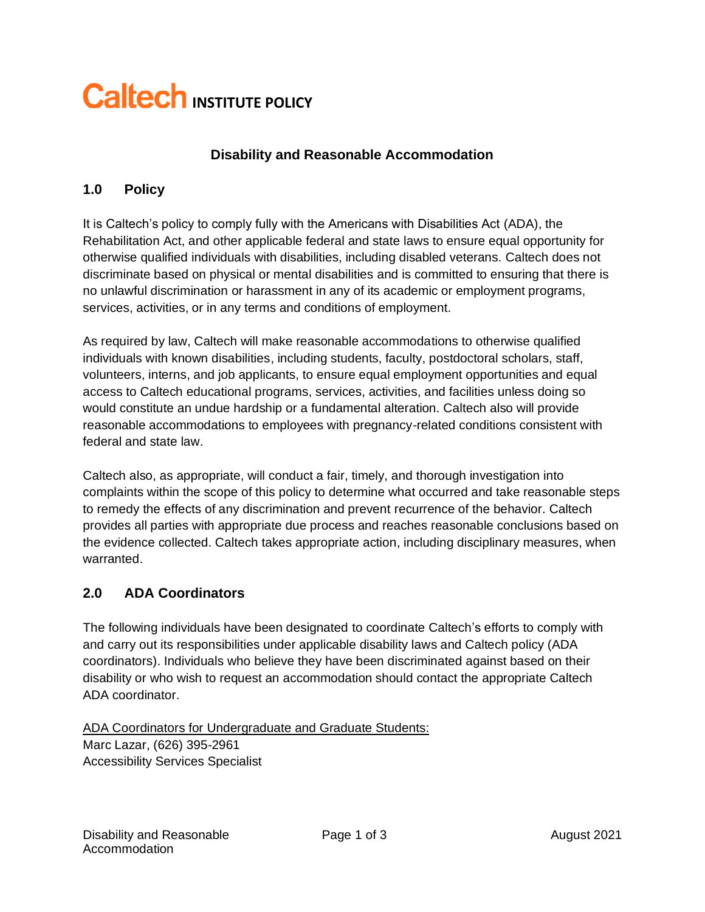# **Caltech INSTITUTE POLICY**

### **Disability and Reasonable Accommodation**

#### **1.0 Policy**

It is Caltech's policy to comply fully with the Americans with Disabilities Act (ADA), the Rehabilitation Act, and other applicable federal and state laws to ensure equal opportunity for otherwise qualified individuals with disabilities, including disabled veterans. Caltech does not discriminate based on physical or mental disabilities and is committed to ensuring that there is no unlawful discrimination or harassment in any of its academic or employment programs, services, activities, or in any terms and conditions of employment.

As required by law, Caltech will make reasonable accommodations to otherwise qualified individuals with known disabilities, including students, faculty, postdoctoral scholars, staff, volunteers, interns, and job applicants, to ensure equal employment opportunities and equal access to Caltech educational programs, services, activities, and facilities unless doing so would constitute an undue hardship or a fundamental alteration. Caltech also will provide reasonable accommodations to employees with pregnancy-related conditions consistent with federal and state law.

Caltech also, as appropriate, will conduct a fair, timely, and thorough investigation into complaints within the scope of this policy to determine what occurred and take reasonable steps to remedy the effects of any discrimination and prevent recurrence of the behavior. Caltech provides all parties with appropriate due process and reaches reasonable conclusions based on the evidence collected. Caltech takes appropriate action, including disciplinary measures, when warranted.

#### **2.0 ADA Coordinators**

The following individuals have been designated to coordinate Caltech's efforts to comply with and carry out its responsibilities under applicable disability laws and Caltech policy (ADA coordinators). Individuals who believe they have been discriminated against based on their disability or who wish to request an accommodation should contact the appropriate Caltech ADA coordinator.

ADA Coordinators for Undergraduate and Graduate Students: Marc Lazar, (626) 395-2961 Accessibility Services Specialist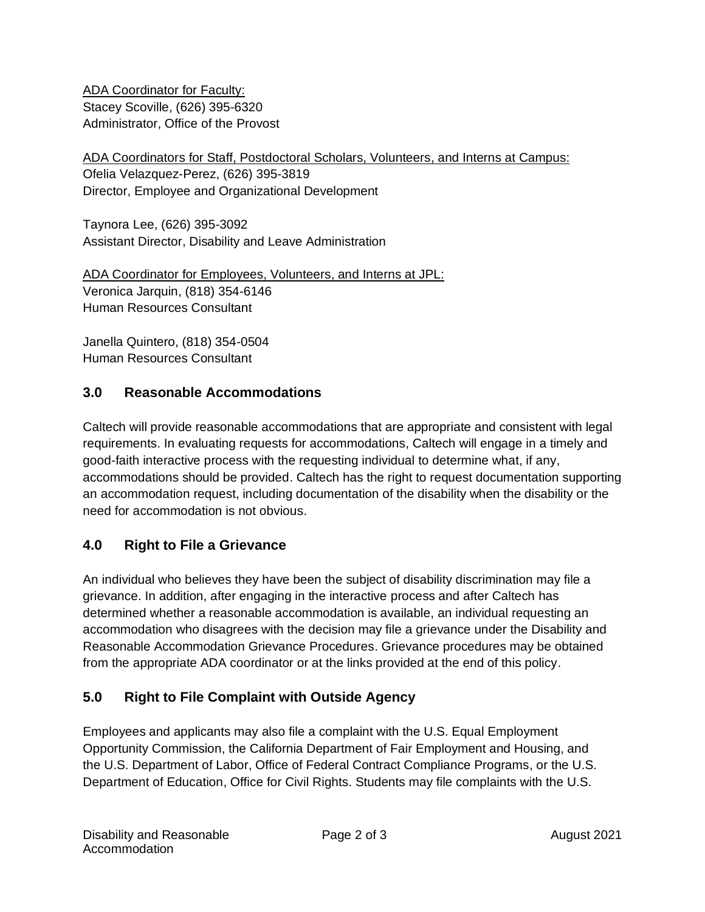ADA Coordinator for Faculty: Stacey Scoville, (626) 395-6320 Administrator, Office of the Provost

ADA Coordinators for Staff, Postdoctoral Scholars, Volunteers, and Interns at Campus: Ofelia Velazquez-Perez, (626) 395-3819 Director, Employee and Organizational Development

Taynora Lee, (626) 395-3092 Assistant Director, Disability and Leave Administration

ADA Coordinator for Employees, Volunteers, and Interns at JPL: Veronica Jarquin, (818) 354-6146 Human Resources Consultant

Janella Quintero, (818) 354-0504 Human Resources Consultant

## **3.0 Reasonable Accommodations**

Caltech will provide reasonable accommodations that are appropriate and consistent with legal requirements. In evaluating requests for accommodations, Caltech will engage in a timely and good-faith interactive process with the requesting individual to determine what, if any, accommodations should be provided. Caltech has the right to request documentation supporting an accommodation request, including documentation of the disability when the disability or the need for accommodation is not obvious.

## **4.0 Right to File a Grievance**

An individual who believes they have been the subject of disability discrimination may file a grievance. In addition, after engaging in the interactive process and after Caltech has determined whether a reasonable accommodation is available, an individual requesting an accommodation who disagrees with the decision may file a grievance under the Disability and Reasonable Accommodation Grievance Procedures. Grievance procedures may be obtained from the appropriate ADA coordinator or at the links provided at the end of this policy.

# **5.0 Right to File Complaint with Outside Agency**

Employees and applicants may also file a complaint with the U.S. Equal Employment Opportunity Commission, the California Department of Fair Employment and Housing, and the U.S. Department of Labor, Office of Federal Contract Compliance Programs, or the U.S. Department of Education, Office for Civil Rights. Students may file complaints with the U.S.